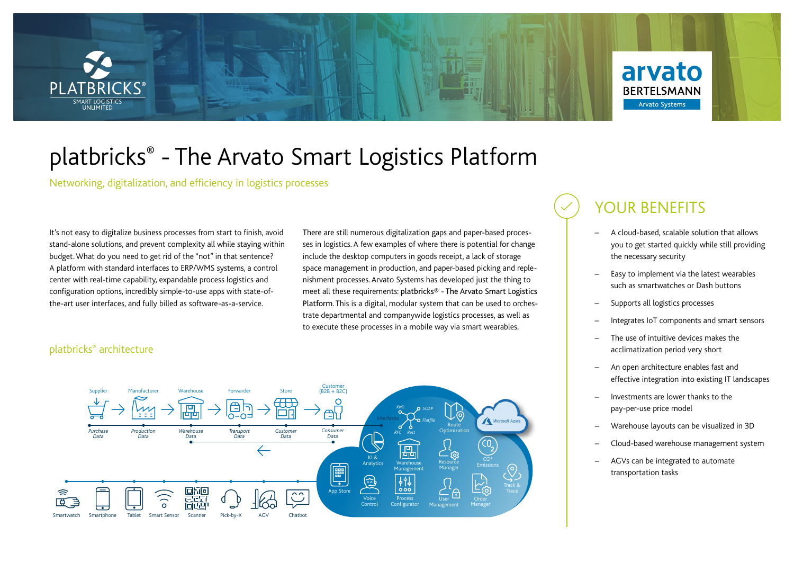

# platbricks® - The Arvato Smart Logistics Platform

Networking, digitalization, and efficiency in logistics processes

It's not easy to digitalize business processes from start to finish, avoid stand-alone solutions, and prevent complexity all while staying within budget. What do you need to get rid of the "not" in that sentence? A platform with standard interfaces to ERP/WMS systems, a control center with real-time capability, expandable process logistics and configuration options, incredibly simple-to-use apps with state-ofthe-art user interfaces, and fully billed as software-as-a-service.

There are still numerous digitalization gaps and paper-based processes in logistics. A few examples of where there is potential for change include the desktop computers in goods receipt, a lack of storage space management in production, and paper-based picking and replenishment processes. Arvato Systems has developed just the thing to meet all these requirements: platbricks® - The Arvato Smart Logistics Platform. This is a digital, modular system that can be used to orchestrate departmental and companywide logistics processes, as well as to execute these processes in a mobile way via smart wearables.

#### platbricks® architecture



### YOUR BENEFITS

- A cloud-based, scalable solution that allows you to get started quickly while still providing the necessary security
- Easy to implement via the latest wearables such as smartwatches or Dash buttons
- Supports all logistics processes
- Integrates IoT components and smart sensors
- The use of intuitive devices makes the acclimatization period very short
- An open architecture enables fast and effective integration into existing IT landscapes
- Investments are lower thanks to the pay-per-use price model
- Warehouse layouts can be visualized in 3D
- Cloud-based warehouse management system
- AGVs can be integrated to automate transportation tasks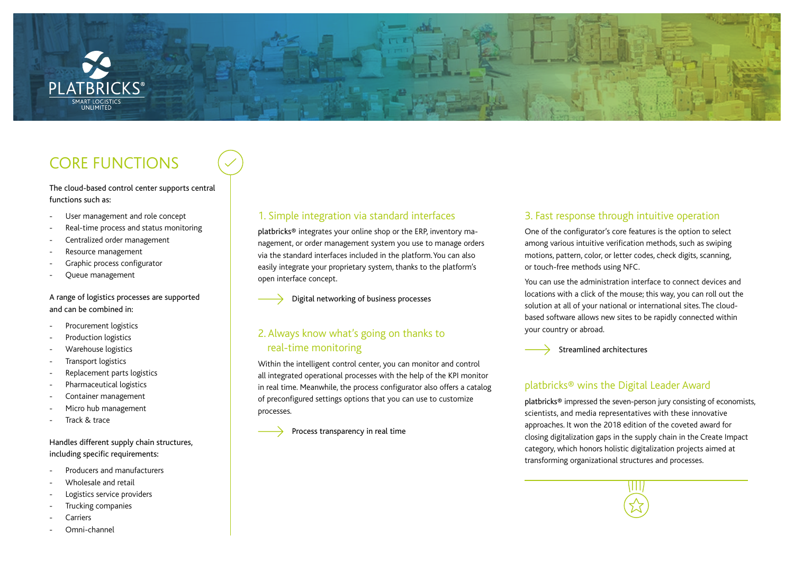

### CORE FUNCTIONS

The cloud-based control center supports central functions such as:

- User management and role concept
- Real-time process and status monitoring
- Centralized order management
- Resource management
- Graphic process configurator
- Queue management

#### A range of logistics processes are supported and can be combined in:

- Procurement logistics
- Production logistics
- Warehouse logistics
- Transport logistics
- Replacement parts logistics
- Pharmaceutical logistics
- Container management
- Micro hub management
- Track & trace

#### Handles different supply chain structures, including specific requirements:

- Producers and manufacturers
- Wholesale and retail
- Logistics service providers
- Trucking companies
- **Carriers**
- Omni-channel

#### 1. Simple integration via standard interfaces

platbricks® integrates your online shop or the ERP, inventory management, or order management system you use to manage orders via the standard interfaces included in the platform. You can also easily integrate your proprietary system, thanks to the platform's open interface concept.

Digital networking of business processes

#### 2. Always know what's going on thanks to real-time monitoring

Within the intelligent control center, you can monitor and control all integrated operational processes with the help of the KPI monitor in real time. Meanwhile, the process configurator also offers a catalog of preconfigured settings options that you can use to customize processes.

Process transparency in real time

#### 3. Fast response through intuitive operation

One of the configurator's core features is the option to select among various intuitive verification methods, such as swiping motions, pattern, color, or letter codes, check digits, scanning, or touch-free methods using NFC.

You can use the administration interface to connect devices and locations with a click of the mouse; this way, you can roll out the solution at all of your national or international sites. The cloudbased software allows new sites to be rapidly connected within your country or abroad.



#### platbricks® wins the Digital Leader Award

platbricks® impressed the seven-person jury consisting of economists, scientists, and media representatives with these innovative approaches. It won the 2018 edition of the coveted award for closing digitalization gaps in the supply chain in the Create Impact category, which honors holistic digitalization projects aimed at transforming organizational structures and processes.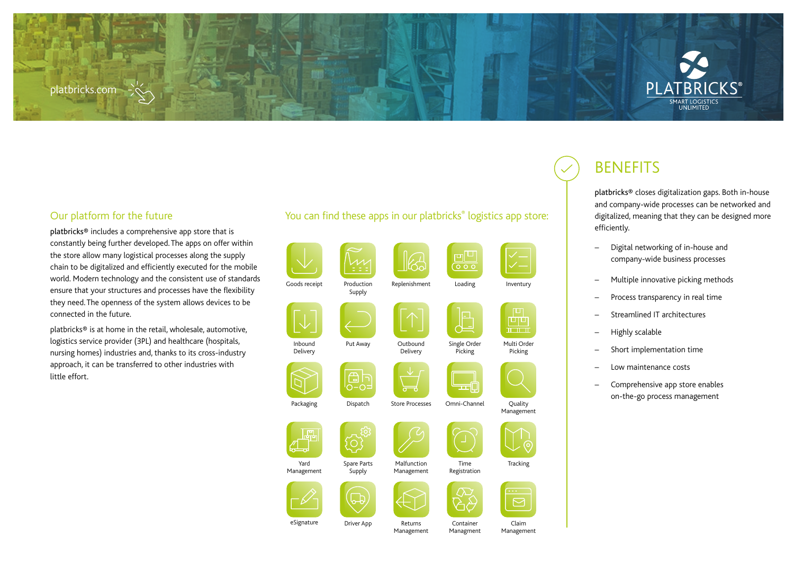#### platbricks.com

#### You can find these apps in our platbricks<sup>®</sup> logistics app store:

| Goods receipt           | Production<br>Supply  | Replenishment             | 冋<br>$\overline{\circ}$<br>Loading | Inventury                                                                          |
|-------------------------|-----------------------|---------------------------|------------------------------------|------------------------------------------------------------------------------------|
| Inbound<br>Delivery     | Put Away              | Outbound<br>Delivery      | Single Order<br>Picking            | 0<br>$\overline{\mathbf{u}}$ and $\overline{\mathbf{u}}$<br>Multi Order<br>Picking |
| Packaging               | ≏<br>Dispatch         | <b>Store Processes</b>    | Omni-Channel                       | Quality<br>Management                                                              |
| p<br>Yard<br>Management | Spare Parts<br>Supply | Malfunction<br>Management | Time<br>Registration               | $\circ$<br>Tracking                                                                |
| eSignature              | Driver App            | Returns                   | Container                          | Claim                                                                              |

## **BENEFITS**

platbricks® closes digitalization gaps. Both in-house and company-wide processes can be networked and digitalized, meaning that they can be designed more efficiently.

**MART LOGISTICS UNLIMITED** 

- Digital networking of in-house and company-wide business processes
- Multiple innovative picking methods
- Process transparency in real time
- Streamlined IT architectures
- Highly scalable
- Short implementation time
- Low maintenance costs
- Comprehensive app store enables on-the-go process management

#### Our platform for the future

platbricks® includes a comprehensive app store that is constantly being further developed. The apps on offer within the store allow many logistical processes along the supply chain to be digitalized and efficiently executed for the mobile world. Modern technology and the consistent use of standards ensure that your structures and processes have the flexibility they need. The openness of the system allows devices to be connected in the future.

platbricks® is at home in the retail, wholesale, automotive, logistics service provider (3PL) and healthcare (hospitals, nursing homes) industries and, thanks to its cross-industry approach, it can be transferred to other industries with little effort.

Driver App Returns

Management

Managment

Claim Management

# **Tracking**